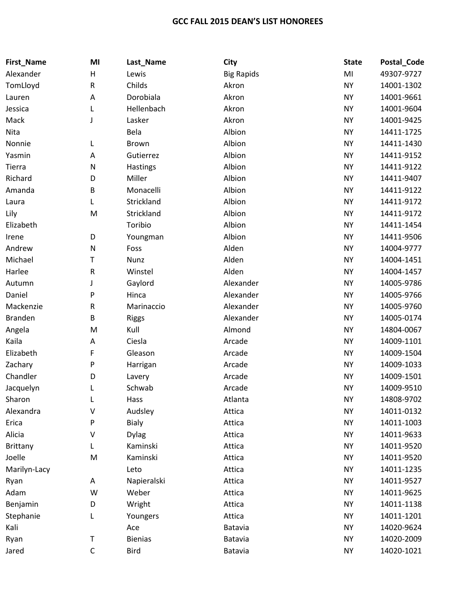## **GCC FALL 2015 DEAN'S LIST HONOREES**

| First_Name      | MI           | Last_Name      | City              | <b>State</b> | Postal_Code |
|-----------------|--------------|----------------|-------------------|--------------|-------------|
| Alexander       | H            | Lewis          | <b>Big Rapids</b> | MI           | 49307-9727  |
| TomLloyd        | ${\sf R}$    | Childs         | Akron             | <b>NY</b>    | 14001-1302  |
| Lauren          | A            | Dorobiala      | Akron             | <b>NY</b>    | 14001-9661  |
| Jessica         | L            | Hellenbach     | Akron             | <b>NY</b>    | 14001-9604  |
| Mack            | J            | Lasker         | Akron             | <b>NY</b>    | 14001-9425  |
| Nita            |              | Bela           | Albion            | <b>NY</b>    | 14411-1725  |
| Nonnie          | L            | <b>Brown</b>   | Albion            | <b>NY</b>    | 14411-1430  |
| Yasmin          | А            | Gutierrez      | Albion            | <b>NY</b>    | 14411-9152  |
| Tierra          | N            | Hastings       | Albion            | <b>NY</b>    | 14411-9122  |
| Richard         | D            | Miller         | Albion            | <b>NY</b>    | 14411-9407  |
| Amanda          | B            | Monacelli      | Albion            | <b>NY</b>    | 14411-9122  |
| Laura           | L            | Strickland     | Albion            | <b>NY</b>    | 14411-9172  |
| Lily            | M            | Strickland     | Albion            | <b>NY</b>    | 14411-9172  |
| Elizabeth       |              | Toribio        | Albion            | <b>NY</b>    | 14411-1454  |
| Irene           | D            | Youngman       | Albion            | <b>NY</b>    | 14411-9506  |
| Andrew          | $\mathsf{N}$ | Foss           | Alden             | <b>NY</b>    | 14004-9777  |
| Michael         | Т            | Nunz           | Alden             | <b>NY</b>    | 14004-1451  |
| Harlee          | ${\sf R}$    | Winstel        | Alden             | <b>NY</b>    | 14004-1457  |
| Autumn          | J            | Gaylord        | Alexander         | <b>NY</b>    | 14005-9786  |
| Daniel          | P            | Hinca          | Alexander         | <b>NY</b>    | 14005-9766  |
| Mackenzie       | ${\sf R}$    | Marinaccio     | Alexander         | <b>NY</b>    | 14005-9760  |
| <b>Branden</b>  | B            | <b>Riggs</b>   | Alexander         | <b>NY</b>    | 14005-0174  |
| Angela          | M            | Kull           | Almond            | <b>NY</b>    | 14804-0067  |
| Kaila           | А            | Ciesla         | Arcade            | <b>NY</b>    | 14009-1101  |
| Elizabeth       | F            | Gleason        | Arcade            | <b>NY</b>    | 14009-1504  |
| Zachary         | P            | Harrigan       | Arcade            | <b>NY</b>    | 14009-1033  |
| Chandler        | D            | Lavery         | Arcade            | <b>NY</b>    | 14009-1501  |
| Jacquelyn       | L            | Schwab         | Arcade            | <b>NY</b>    | 14009-9510  |
| Sharon          | L            | Hass           | Atlanta           | <b>NY</b>    | 14808-9702  |
| Alexandra       | V            | Audsley        | Attica            | <b>NY</b>    | 14011-0132  |
| Erica           | P            | <b>Bialy</b>   | Attica            | <b>NY</b>    | 14011-1003  |
| Alicia          | V            | <b>Dylag</b>   | Attica            | <b>NY</b>    | 14011-9633  |
| <b>Brittany</b> | L            | Kaminski       | Attica            | <b>NY</b>    | 14011-9520  |
| Joelle          | M            | Kaminski       | Attica            | <b>NY</b>    | 14011-9520  |
| Marilyn-Lacy    |              | Leto           | Attica            | <b>NY</b>    | 14011-1235  |
| Ryan            | Α            | Napieralski    | Attica            | <b>NY</b>    | 14011-9527  |
| Adam            | W            | Weber          | Attica            | <b>NY</b>    | 14011-9625  |
| Benjamin        | D            | Wright         | Attica            | <b>NY</b>    | 14011-1138  |
| Stephanie       | L            | Youngers       | Attica            | <b>NY</b>    | 14011-1201  |
| Kali            |              | Ace            | Batavia           | <b>NY</b>    | 14020-9624  |
| Ryan            | Τ            | <b>Bienias</b> | Batavia           | <b>NY</b>    | 14020-2009  |
| Jared           | $\mathsf C$  | <b>Bird</b>    | Batavia           | <b>NY</b>    | 14020-1021  |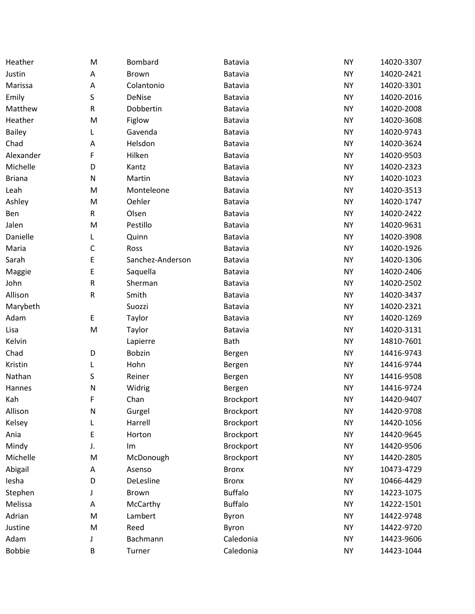| Heather       | M            | Bombard          | Batavia          | <b>NY</b> | 14020-3307 |
|---------------|--------------|------------------|------------------|-----------|------------|
| Justin        | A            | Brown            | Batavia          | <b>NY</b> | 14020-2421 |
| Marissa       | A            | Colantonio       | <b>Batavia</b>   | <b>NY</b> | 14020-3301 |
| Emily         | S            | <b>DeNise</b>    | Batavia          | <b>NY</b> | 14020-2016 |
| Matthew       | ${\sf R}$    | Dobbertin        | Batavia          | <b>NY</b> | 14020-2008 |
| Heather       | M            | Figlow           | Batavia          | <b>NY</b> | 14020-3608 |
| <b>Bailey</b> | L            | Gavenda          | Batavia          | <b>NY</b> | 14020-9743 |
| Chad          | A            | Helsdon          | Batavia          | <b>NY</b> | 14020-3624 |
| Alexander     | F            | Hilken           | <b>Batavia</b>   | <b>NY</b> | 14020-9503 |
| Michelle      | D            | Kantz            | Batavia          | <b>NY</b> | 14020-2323 |
| <b>Briana</b> | ${\sf N}$    | Martin           | Batavia          | <b>NY</b> | 14020-1023 |
| Leah          | M            | Monteleone       | Batavia          | <b>NY</b> | 14020-3513 |
| Ashley        | M            | Oehler           | Batavia          | <b>NY</b> | 14020-1747 |
| Ben           | $\mathsf{R}$ | Olsen            | Batavia          | <b>NY</b> | 14020-2422 |
| Jalen         | M            | Pestillo         | Batavia          | <b>NY</b> | 14020-9631 |
| Danielle      | L            | Quinn            | Batavia          | <b>NY</b> | 14020-3908 |
| Maria         | $\mathsf C$  | Ross             | <b>Batavia</b>   | <b>NY</b> | 14020-1926 |
| Sarah         | Е            | Sanchez-Anderson | Batavia          | <b>NY</b> | 14020-1306 |
| Maggie        | Е            | Saquella         | Batavia          | <b>NY</b> | 14020-2406 |
| John          | ${\sf R}$    | Sherman          | Batavia          | <b>NY</b> | 14020-2502 |
| Allison       | ${\sf R}$    | Smith            | Batavia          | <b>NY</b> | 14020-3437 |
| Marybeth      |              | Suozzi           | Batavia          | <b>NY</b> | 14020-2321 |
| Adam          | E            | Taylor           | Batavia          | <b>NY</b> | 14020-1269 |
| Lisa          | M            | Taylor           | Batavia          | <b>NY</b> | 14020-3131 |
| Kelvin        |              | Lapierre         | <b>Bath</b>      | <b>NY</b> | 14810-7601 |
| Chad          | D            | <b>Bobzin</b>    | Bergen           | <b>NY</b> | 14416-9743 |
| Kristin       | L            | Hohn             | Bergen           | <b>NY</b> | 14416-9744 |
| Nathan        | S            | Reiner           | Bergen           | <b>NY</b> | 14416-9508 |
| Hannes        | $\mathsf{N}$ | Widrig           | Bergen           | <b>NY</b> | 14416-9724 |
| Kah           | F            | Chan             | <b>Brockport</b> | <b>NY</b> | 14420-9407 |
| Allison       | ${\sf N}$    | Gurgel           | <b>Brockport</b> | <b>NY</b> | 14420-9708 |
| Kelsey        |              | Harrell          | Brockport        | <b>NY</b> | 14420-1056 |
| Ania          | Е            | Horton           | Brockport        | <b>NY</b> | 14420-9645 |
| Mindy         | J.           | Im               | Brockport        | <b>NY</b> | 14420-9506 |
| Michelle      | M            | McDonough        | <b>Brockport</b> | <b>NY</b> | 14420-2805 |
| Abigail       | A            | Asenso           | <b>Bronx</b>     | <b>NY</b> | 10473-4729 |
| lesha         | D            | DeLesline        | <b>Bronx</b>     | <b>NY</b> | 10466-4429 |
| Stephen       |              | Brown            | <b>Buffalo</b>   | <b>NY</b> | 14223-1075 |
| Melissa       | Α            | McCarthy         | <b>Buffalo</b>   | <b>NY</b> | 14222-1501 |
| Adrian        | M            | Lambert          | Byron            | <b>NY</b> | 14422-9748 |
| Justine       | M            | Reed             | Byron            | <b>NY</b> | 14422-9720 |
| Adam          |              | Bachmann         | Caledonia        | <b>NY</b> | 14423-9606 |
| <b>Bobbie</b> | B            | Turner           | Caledonia        | <b>NY</b> | 14423-1044 |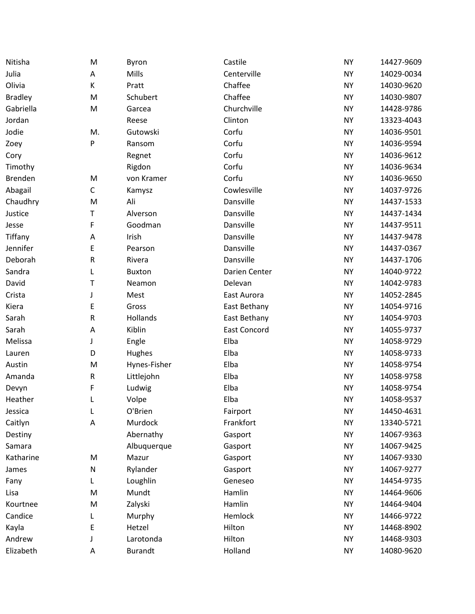| Nitisha        | M           | Byron          | Castile       | <b>NY</b> | 14427-9609 |
|----------------|-------------|----------------|---------------|-----------|------------|
| Julia          | Α           | Mills          | Centerville   | <b>NY</b> | 14029-0034 |
| Olivia         | К           | Pratt          | Chaffee       | <b>NY</b> | 14030-9620 |
| <b>Bradley</b> | M           | Schubert       | Chaffee       | <b>NY</b> | 14030-9807 |
| Gabriella      | M           | Garcea         | Churchville   | <b>NY</b> | 14428-9786 |
| Jordan         |             | Reese          | Clinton       | <b>NY</b> | 13323-4043 |
| Jodie          | M.          | Gutowski       | Corfu         | <b>NY</b> | 14036-9501 |
| Zoey           | P           | Ransom         | Corfu         | <b>NY</b> | 14036-9594 |
| Cory           |             | Regnet         | Corfu         | <b>NY</b> | 14036-9612 |
| Timothy        |             | Rigdon         | Corfu         | <b>NY</b> | 14036-9634 |
| <b>Brenden</b> | M           | von Kramer     | Corfu         | <b>NY</b> | 14036-9650 |
| Abagail        | $\mathsf C$ | Kamysz         | Cowlesville   | <b>NY</b> | 14037-9726 |
| Chaudhry       | M           | Ali            | Dansville     | <b>NY</b> | 14437-1533 |
| Justice        | Т           | Alverson       | Dansville     | <b>NY</b> | 14437-1434 |
| Jesse          | F           | Goodman        | Dansville     | <b>NY</b> | 14437-9511 |
| Tiffany        | A           | Irish          | Dansville     | <b>NY</b> | 14437-9478 |
| Jennifer       | E           | Pearson        | Dansville     | <b>NY</b> | 14437-0367 |
| Deborah        | R           | Rivera         | Dansville     | <b>NY</b> | 14437-1706 |
| Sandra         | L           | <b>Buxton</b>  | Darien Center | <b>NY</b> | 14040-9722 |
| David          | Т           | Neamon         | Delevan       | <b>NY</b> | 14042-9783 |
| Crista         | J           | Mest           | East Aurora   | <b>NY</b> | 14052-2845 |
| Kiera          | E           | Gross          | East Bethany  | <b>NY</b> | 14054-9716 |
| Sarah          | R           | Hollands       | East Bethany  | <b>NY</b> | 14054-9703 |
| Sarah          | A           | Kiblin         | East Concord  | <b>NY</b> | 14055-9737 |
| Melissa        | J           | Engle          | Elba          | <b>NY</b> | 14058-9729 |
| Lauren         | D           | Hughes         | Elba          | <b>NY</b> | 14058-9733 |
| Austin         | M           | Hynes-Fisher   | Elba          | <b>NY</b> | 14058-9754 |
| Amanda         | R           | Littlejohn     | Elba          | <b>NY</b> | 14058-9758 |
| Devyn          | F           | Ludwig         | Elba          | <b>NY</b> | 14058-9754 |
| Heather        | L           | Volpe          | Elba          | <b>NY</b> | 14058-9537 |
| Jessica        | L           | O'Brien        | Fairport      | <b>NY</b> | 14450-4631 |
| Caitlyn        | $\mathsf A$ | Murdock        | Frankfort     | <b>NY</b> | 13340-5721 |
| Destiny        |             | Abernathy      | Gasport       | <b>NY</b> | 14067-9363 |
| Samara         |             | Albuquerque    | Gasport       | <b>NY</b> | 14067-9425 |
| Katharine      | M           | Mazur          | Gasport       | <b>NY</b> | 14067-9330 |
| James          | N           | Rylander       | Gasport       | <b>NY</b> | 14067-9277 |
| Fany           | L           | Loughlin       | Geneseo       | <b>NY</b> | 14454-9735 |
| Lisa           | M           | Mundt          | Hamlin        | <b>NY</b> | 14464-9606 |
| Kourtnee       | M           | Zalyski        | Hamlin        | <b>NY</b> | 14464-9404 |
| Candice        |             | Murphy         | Hemlock       | <b>NY</b> | 14466-9722 |
| Kayla          | E           | Hetzel         | Hilton        | <b>NY</b> | 14468-8902 |
| Andrew         |             | Larotonda      | Hilton        | <b>NY</b> | 14468-9303 |
| Elizabeth      | А           | <b>Burandt</b> | Holland       | <b>NY</b> | 14080-9620 |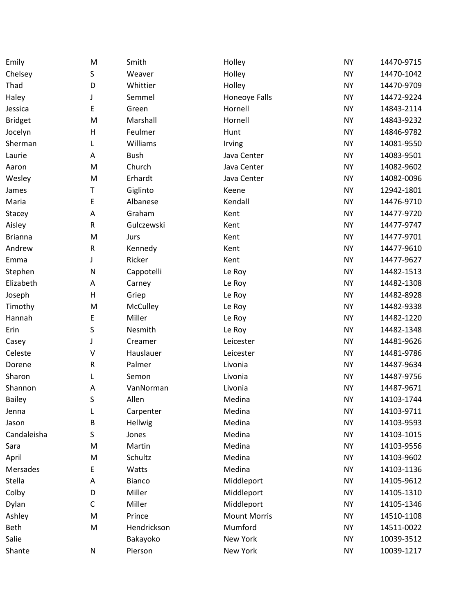| Emily          | M            | Smith           | Holley              | <b>NY</b> | 14470-9715 |
|----------------|--------------|-----------------|---------------------|-----------|------------|
| Chelsey        | S            | Weaver          | Holley              | <b>NY</b> | 14470-1042 |
| Thad           | D            | Whittier        | Holley              | <b>NY</b> | 14470-9709 |
| Haley          | J            | Semmel          | Honeoye Falls       | <b>NY</b> | 14472-9224 |
| Jessica        | E            | Green           | Hornell             | <b>NY</b> | 14843-2114 |
| <b>Bridget</b> | M            | Marshall        | Hornell             | <b>NY</b> | 14843-9232 |
| Jocelyn        | $\mathsf{H}$ | Feulmer         | Hunt                | <b>NY</b> | 14846-9782 |
| Sherman        | L            | Williams        | Irving              | <b>NY</b> | 14081-9550 |
| Laurie         | Α            | <b>Bush</b>     | Java Center         | <b>NY</b> | 14083-9501 |
| Aaron          | M            | Church          | Java Center         | <b>NY</b> | 14082-9602 |
| Wesley         | M            | Erhardt         | Java Center         | <b>NY</b> | 14082-0096 |
| James          | Т            | Giglinto        | Keene               | <b>NY</b> | 12942-1801 |
| Maria          | E            | Albanese        | Kendall             | <b>NY</b> | 14476-9710 |
| Stacey         | A            | Graham          | Kent                | <b>NY</b> | 14477-9720 |
| Aisley         | ${\sf R}$    | Gulczewski      | Kent                | <b>NY</b> | 14477-9747 |
| <b>Brianna</b> | M            | Jurs            | Kent                | <b>NY</b> | 14477-9701 |
| Andrew         | ${\sf R}$    | Kennedy         | Kent                | <b>NY</b> | 14477-9610 |
| Emma           | J            | Ricker          | Kent                | <b>NY</b> | 14477-9627 |
| Stephen        | N            | Cappotelli      | Le Roy              | <b>NY</b> | 14482-1513 |
| Elizabeth      | A            | Carney          | Le Roy              | <b>NY</b> | 14482-1308 |
| Joseph         | $\mathsf{H}$ | Griep           | Le Roy              | <b>NY</b> | 14482-8928 |
| Timothy        | M            | <b>McCulley</b> | Le Roy              | <b>NY</b> | 14482-9338 |
| Hannah         | E            | Miller          | Le Roy              | <b>NY</b> | 14482-1220 |
| Erin           | S            | Nesmith         | Le Roy              | <b>NY</b> | 14482-1348 |
| Casey          | J            | Creamer         | Leicester           | <b>NY</b> | 14481-9626 |
| Celeste        | $\vee$       | Hauslauer       | Leicester           | <b>NY</b> | 14481-9786 |
| Dorene         | ${\sf R}$    | Palmer          | Livonia             | <b>NY</b> | 14487-9634 |
| Sharon         | L            | Semon           | Livonia             | <b>NY</b> | 14487-9756 |
| Shannon        | Α            | VanNorman       | Livonia             | <b>NY</b> | 14487-9671 |
| <b>Bailey</b>  | S            | Allen           | Medina              | <b>NY</b> | 14103-1744 |
| Jenna          | L            | Carpenter       | Medina              | <b>NY</b> | 14103-9711 |
| Jason          | В            | Hellwig         | Medina              | <b>NY</b> | 14103-9593 |
| Candaleisha    | S            | Jones           | Medina              | <b>NY</b> | 14103-1015 |
| Sara           | M            | Martin          | Medina              | <b>NY</b> | 14103-9556 |
| April          | M            | Schultz         | Medina              | <b>NY</b> | 14103-9602 |
| Mersades       | E            | Watts           | Medina              | <b>NY</b> | 14103-1136 |
| Stella         | A            | <b>Bianco</b>   | Middleport          | <b>NY</b> | 14105-9612 |
| Colby          | D            | Miller          | Middleport          | <b>NY</b> | 14105-1310 |
| Dylan          | C            | Miller          | Middleport          | <b>NY</b> | 14105-1346 |
| Ashley         | M            | Prince          | <b>Mount Morris</b> | <b>NY</b> | 14510-1108 |
| Beth           | M            | Hendrickson     | Mumford             | <b>NY</b> | 14511-0022 |
| Salie          |              | Bakayoko        | New York            | <b>NY</b> | 10039-3512 |
| Shante         | N            | Pierson         | New York            | <b>NY</b> | 10039-1217 |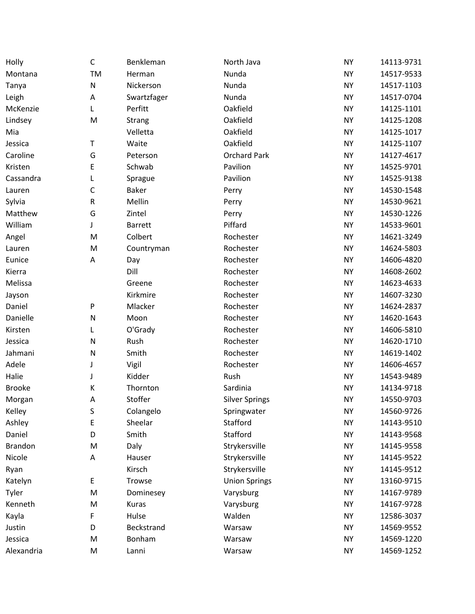| Holly          | $\mathsf C$  | Benkleman      | North Java            | <b>NY</b> | 14113-9731 |
|----------------|--------------|----------------|-----------------------|-----------|------------|
| Montana        | TM           | Herman         | Nunda                 | <b>NY</b> | 14517-9533 |
| Tanya          | ${\sf N}$    | Nickerson      | Nunda                 | <b>NY</b> | 14517-1103 |
| Leigh          | Α            | Swartzfager    | Nunda                 | <b>NY</b> | 14517-0704 |
| McKenzie       | Г            | Perfitt        | Oakfield              | <b>NY</b> | 14125-1101 |
| Lindsey        | M            | <b>Strang</b>  | Oakfield              | <b>NY</b> | 14125-1208 |
| Mia            |              | Velletta       | Oakfield              | <b>NY</b> | 14125-1017 |
| Jessica        | T            | Waite          | Oakfield              | <b>NY</b> | 14125-1107 |
| Caroline       | G            | Peterson       | <b>Orchard Park</b>   | <b>NY</b> | 14127-4617 |
| Kristen        | E            | Schwab         | Pavilion              | <b>NY</b> | 14525-9701 |
| Cassandra      | L            | Sprague        | Pavilion              | <b>NY</b> | 14525-9138 |
| Lauren         | $\mathsf C$  | Baker          | Perry                 | <b>NY</b> | 14530-1548 |
| Sylvia         | ${\sf R}$    | Mellin         | Perry                 | <b>NY</b> | 14530-9621 |
| Matthew        | G            | Zintel         | Perry                 | <b>NY</b> | 14530-1226 |
| William        | J            | <b>Barrett</b> | Piffard               | <b>NY</b> | 14533-9601 |
| Angel          | M            | Colbert        | Rochester             | <b>NY</b> | 14621-3249 |
| Lauren         | M            | Countryman     | Rochester             | <b>NY</b> | 14624-5803 |
| Eunice         | Α            | Day            | Rochester             | <b>NY</b> | 14606-4820 |
| Kierra         |              | Dill           | Rochester             | <b>NY</b> | 14608-2602 |
| Melissa        |              | Greene         | Rochester             | <b>NY</b> | 14623-4633 |
| Jayson         |              | Kirkmire       | Rochester             | <b>NY</b> | 14607-3230 |
| Daniel         | P            | Mlacker        | Rochester             | <b>NY</b> | 14624-2837 |
| Danielle       | ${\sf N}$    | Moon           | Rochester             | <b>NY</b> | 14620-1643 |
| Kirsten        | L            | O'Grady        | Rochester             | <b>NY</b> | 14606-5810 |
| Jessica        | $\mathsf{N}$ | Rush           | Rochester             | <b>NY</b> | 14620-1710 |
| Jahmani        | N            | Smith          | Rochester             | <b>NY</b> | 14619-1402 |
| Adele          | J            | Vigil          | Rochester             | <b>NY</b> | 14606-4657 |
| Halie          | J            | Kidder         | Rush                  | <b>NY</b> | 14543-9489 |
| <b>Brooke</b>  | К            | Thornton       | Sardinia              | <b>NY</b> | 14134-9718 |
| Morgan         | Α            | Stoffer        | <b>Silver Springs</b> | <b>NY</b> | 14550-9703 |
| Kelley         | S            | Colangelo      | Springwater           | <b>NY</b> | 14560-9726 |
| Ashley         | E            | Sheelar        | Stafford              | <b>NY</b> | 14143-9510 |
| Daniel         | D            | Smith          | Stafford              | <b>NY</b> | 14143-9568 |
| <b>Brandon</b> | M            | Daly           | Strykersville         | <b>NY</b> | 14145-9558 |
| Nicole         | Α            | Hauser         | Strykersville         | <b>NY</b> | 14145-9522 |
| Ryan           |              | Kirsch         | Strykersville         | <b>NY</b> | 14145-9512 |
| Katelyn        | E            | Trowse         | <b>Union Springs</b>  | <b>NY</b> | 13160-9715 |
| Tyler          | M            | Dominesey      | Varysburg             | <b>NY</b> | 14167-9789 |
| Kenneth        | M            | Kuras          | Varysburg             | <b>NY</b> | 14167-9728 |
| Kayla          | F            | Hulse          | Walden                | <b>NY</b> | 12586-3037 |
| Justin         | D            | Beckstrand     | Warsaw                | <b>NY</b> | 14569-9552 |
| Jessica        | M            | Bonham         | Warsaw                | <b>NY</b> | 14569-1220 |
| Alexandria     | M            | Lanni          | Warsaw                | <b>NY</b> | 14569-1252 |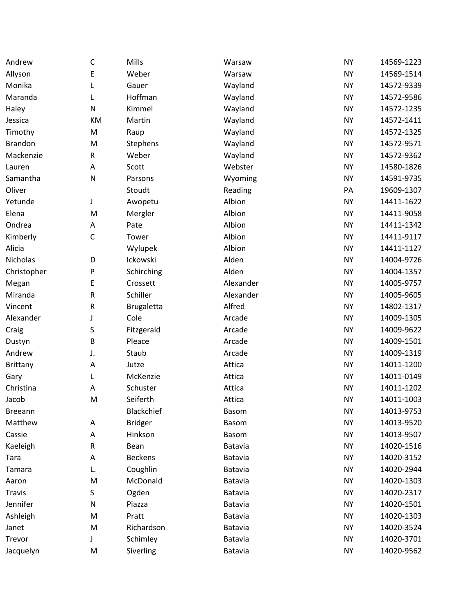| Andrew          | $\mathsf{C}$ | Mills             | Warsaw         | <b>NY</b> | 14569-1223 |
|-----------------|--------------|-------------------|----------------|-----------|------------|
| Allyson         | E            | Weber             | Warsaw         | <b>NY</b> | 14569-1514 |
| Monika          | L            | Gauer             | Wayland        | <b>NY</b> | 14572-9339 |
| Maranda         | L            | Hoffman           | Wayland        | <b>NY</b> | 14572-9586 |
| Haley           | N            | Kimmel            | Wayland        | <b>NY</b> | 14572-1235 |
| Jessica         | KM           | Martin            | Wayland        | <b>NY</b> | 14572-1411 |
| Timothy         | M            | Raup              | Wayland        | <b>NY</b> | 14572-1325 |
| <b>Brandon</b>  | M            | Stephens          | Wayland        | <b>NY</b> | 14572-9571 |
| Mackenzie       | R            | Weber             | Wayland        | <b>NY</b> | 14572-9362 |
| Lauren          | A            | Scott             | Webster        | <b>NY</b> | 14580-1826 |
| Samantha        | ${\sf N}$    | Parsons           | Wyoming        | <b>NY</b> | 14591-9735 |
| Oliver          |              | Stoudt            | Reading        | PA        | 19609-1307 |
| Yetunde         | J            | Awopetu           | Albion         | <b>NY</b> | 14411-1622 |
| Elena           | M            | Mergler           | Albion         | <b>NY</b> | 14411-9058 |
| Ondrea          | A            | Pate              | Albion         | <b>NY</b> | 14411-1342 |
| Kimberly        | $\mathsf C$  | Tower             | Albion         | <b>NY</b> | 14411-9117 |
| Alicia          |              | Wylupek           | Albion         | <b>NY</b> | 14411-1127 |
| Nicholas        | D            | Ickowski          | Alden          | <b>NY</b> | 14004-9726 |
| Christopher     | P            | Schirching        | Alden          | <b>NY</b> | 14004-1357 |
| Megan           | E            | Crossett          | Alexander      | <b>NY</b> | 14005-9757 |
| Miranda         | R            | Schiller          | Alexander      | <b>NY</b> | 14005-9605 |
| Vincent         | R            | <b>Brugaletta</b> | Alfred         | <b>NY</b> | 14802-1317 |
| Alexander       | J            | Cole              | Arcade         | <b>NY</b> | 14009-1305 |
| Craig           | S            | Fitzgerald        | Arcade         | <b>NY</b> | 14009-9622 |
| Dustyn          | B            | Pleace            | Arcade         | <b>NY</b> | 14009-1501 |
| Andrew          | J.           | Staub             | Arcade         | <b>NY</b> | 14009-1319 |
| <b>Brittany</b> | A            | Jutze             | Attica         | <b>NY</b> | 14011-1200 |
| Gary            | L            | McKenzie          | Attica         | <b>NY</b> | 14011-0149 |
| Christina       | A            | Schuster          | Attica         | <b>NY</b> | 14011-1202 |
| Jacob           | M            | Seiferth          | Attica         | <b>NY</b> | 14011-1003 |
| <b>Breeann</b>  |              | Blackchief        | <b>Basom</b>   | <b>NY</b> | 14013-9753 |
| Matthew         | Α            | <b>Bridger</b>    | Basom          | <b>NY</b> | 14013-9520 |
| Cassie          | A            | Hinkson           | <b>Basom</b>   | NY        | 14013-9507 |
| Kaeleigh        | R            | Bean              | Batavia        | <b>NY</b> | 14020-1516 |
| Tara            | Α            | <b>Beckens</b>    | Batavia        | <b>NY</b> | 14020-3152 |
| Tamara          | L.           | Coughlin          | Batavia        | <b>NY</b> | 14020-2944 |
| Aaron           | M            | McDonald          | Batavia        | NY        | 14020-1303 |
| <b>Travis</b>   | S            | Ogden             | Batavia        | <b>NY</b> | 14020-2317 |
| Jennifer        | N            | Piazza            | <b>Batavia</b> | NY        | 14020-1501 |
| Ashleigh        | M            | Pratt             | Batavia        | <b>NY</b> | 14020-1303 |
| Janet           | M            | Richardson        | Batavia        | <b>NY</b> | 14020-3524 |
| Trevor          | J            | Schimley          | Batavia        | <b>NY</b> | 14020-3701 |
| Jacquelyn       | M            | Siverling         | Batavia        | <b>NY</b> | 14020-9562 |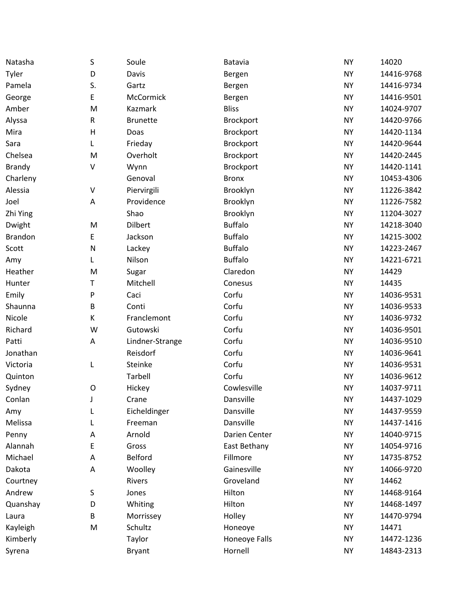| Natasha        | S           | Soule           | Batavia          | <b>NY</b> | 14020      |
|----------------|-------------|-----------------|------------------|-----------|------------|
| Tyler          | D           | Davis           | Bergen           | <b>NY</b> | 14416-9768 |
| Pamela         | S.          | Gartz           | Bergen           | <b>NY</b> | 14416-9734 |
| George         | E           | McCormick       | Bergen           | <b>NY</b> | 14416-9501 |
| Amber          | M           | Kazmark         | <b>Bliss</b>     | <b>NY</b> | 14024-9707 |
| Alyssa         | R           | <b>Brunette</b> | Brockport        | <b>NY</b> | 14420-9766 |
| Mira           | Н           | Doas            | <b>Brockport</b> | <b>NY</b> | 14420-1134 |
| Sara           | L           | Frieday         | Brockport        | <b>NY</b> | 14420-9644 |
| Chelsea        | M           | Overholt        | Brockport        | <b>NY</b> | 14420-2445 |
| <b>Brandy</b>  | V           | Wynn            | Brockport        | <b>NY</b> | 14420-1141 |
| Charleny       |             | Genoval         | <b>Bronx</b>     | <b>NY</b> | 10453-4306 |
| Alessia        | V           | Piervirgili     | Brooklyn         | <b>NY</b> | 11226-3842 |
| Joel           | Α           | Providence      | Brooklyn         | <b>NY</b> | 11226-7582 |
| Zhi Ying       |             | Shao            | Brooklyn         | <b>NY</b> | 11204-3027 |
| Dwight         | M           | <b>Dilbert</b>  | <b>Buffalo</b>   | <b>NY</b> | 14218-3040 |
| <b>Brandon</b> | E           | Jackson         | <b>Buffalo</b>   | <b>NY</b> | 14215-3002 |
| Scott          | N           | Lackey          | <b>Buffalo</b>   | <b>NY</b> | 14223-2467 |
| Amy            | L           | Nilson          | <b>Buffalo</b>   | <b>NY</b> | 14221-6721 |
| Heather        | M           | Sugar           | Claredon         | <b>NY</b> | 14429      |
| Hunter         | Т           | Mitchell        | Conesus          | <b>NY</b> | 14435      |
| Emily          | P           | Caci            | Corfu            | <b>NY</b> | 14036-9531 |
| Shaunna        | B           | Conti           | Corfu            | <b>NY</b> | 14036-9533 |
| Nicole         | К           | Franclemont     | Corfu            | <b>NY</b> | 14036-9732 |
| Richard        | W           | Gutowski        | Corfu            | <b>NY</b> | 14036-9501 |
| Patti          | А           | Lindner-Strange | Corfu            | <b>NY</b> | 14036-9510 |
| Jonathan       |             | Reisdorf        | Corfu            | <b>NY</b> | 14036-9641 |
| Victoria       | L           | Steinke         | Corfu            | <b>NY</b> | 14036-9531 |
| Quinton        |             | Tarbell         | Corfu            | <b>NY</b> | 14036-9612 |
| Sydney         | $\mathsf O$ | Hickey          | Cowlesville      | <b>NY</b> | 14037-9711 |
| Conlan         | J           | Crane           | Dansville        | <b>NY</b> | 14437-1029 |
| Amy            | L           | Eicheldinger    | Dansville        | <b>NY</b> | 14437-9559 |
| Melissa        | L           | Freeman         | Dansville        | <b>NY</b> | 14437-1416 |
| Penny          | A           | Arnold          | Darien Center    | <b>NY</b> | 14040-9715 |
| Alannah        | E           | Gross           | East Bethany     | <b>NY</b> | 14054-9716 |
| Michael        | Α           | Belford         | Fillmore         | <b>NY</b> | 14735-8752 |
| Dakota         | A           | Woolley         | Gainesville      | <b>NY</b> | 14066-9720 |
| Courtney       |             | Rivers          | Groveland        | <b>NY</b> | 14462      |
| Andrew         | S           | Jones           | Hilton           | <b>NY</b> | 14468-9164 |
| Quanshay       | D           | Whiting         | Hilton           | <b>NY</b> | 14468-1497 |
| Laura          | B           | Morrissey       | Holley           | <b>NY</b> | 14470-9794 |
| Kayleigh       | M           | Schultz         | Honeoye          | <b>NY</b> | 14471      |
| Kimberly       |             | Taylor          | Honeoye Falls    | <b>NY</b> | 14472-1236 |
| Syrena         |             | <b>Bryant</b>   | Hornell          | <b>NY</b> | 14843-2313 |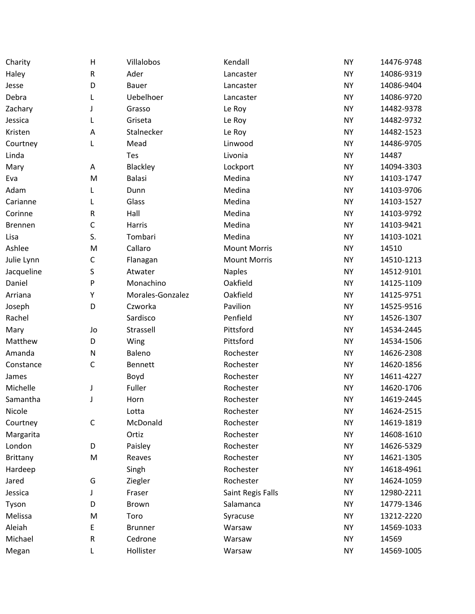| Charity         | $\mathsf{H}$ | Villalobos       | Kendall             | <b>NY</b> | 14476-9748 |
|-----------------|--------------|------------------|---------------------|-----------|------------|
| Haley           | ${\sf R}$    | Ader             | Lancaster           | <b>NY</b> | 14086-9319 |
| Jesse           | D            | Bauer            | Lancaster           | <b>NY</b> | 14086-9404 |
| Debra           |              | Uebelhoer        | Lancaster           | <b>NY</b> | 14086-9720 |
| Zachary         |              | Grasso           | Le Roy              | <b>NY</b> | 14482-9378 |
| Jessica         |              | Griseta          | Le Roy              | <b>NY</b> | 14482-9732 |
| Kristen         | A            | Stalnecker       | Le Roy              | <b>NY</b> | 14482-1523 |
| Courtney        | L            | Mead             | Linwood             | <b>NY</b> | 14486-9705 |
| Linda           |              | Tes              | Livonia             | <b>NY</b> | 14487      |
| Mary            | Α            | Blackley         | Lockport            | <b>NY</b> | 14094-3303 |
| Eva             | M            | <b>Balasi</b>    | Medina              | <b>NY</b> | 14103-1747 |
| Adam            | L            | Dunn             | Medina              | <b>NY</b> | 14103-9706 |
| Carianne        | L            | Glass            | Medina              | <b>NY</b> | 14103-1527 |
| Corinne         | R            | Hall             | Medina              | <b>NY</b> | 14103-9792 |
| Brennen         | $\mathsf C$  | Harris           | Medina              | <b>NY</b> | 14103-9421 |
| Lisa            | S.           | Tombari          | Medina              | <b>NY</b> | 14103-1021 |
| Ashlee          | M            | Callaro          | <b>Mount Morris</b> | <b>NY</b> | 14510      |
| Julie Lynn      | C            | Flanagan         | <b>Mount Morris</b> | <b>NY</b> | 14510-1213 |
| Jacqueline      | S            | Atwater          | <b>Naples</b>       | <b>NY</b> | 14512-9101 |
| Daniel          | P            | Monachino        | Oakfield            | <b>NY</b> | 14125-1109 |
| Arriana         | Υ            | Morales-Gonzalez | Oakfield            | <b>NY</b> | 14125-9751 |
| Joseph          | D            | Czworka          | Pavilion            | <b>NY</b> | 14525-9516 |
| Rachel          |              | Sardisco         | Penfield            | <b>NY</b> | 14526-1307 |
| Mary            | Jo           | Strassell        | Pittsford           | <b>NY</b> | 14534-2445 |
| Matthew         | D            | Wing             | Pittsford           | <b>NY</b> | 14534-1506 |
| Amanda          | N            | Baleno           | Rochester           | <b>NY</b> | 14626-2308 |
| Constance       | $\mathsf C$  | <b>Bennett</b>   | Rochester           | <b>NY</b> | 14620-1856 |
| James           |              | Boyd             | Rochester           | <b>NY</b> | 14611-4227 |
| Michelle        | J            | Fuller           | Rochester           | <b>NY</b> | 14620-1706 |
| Samantha        | J            | Horn             | Rochester           | <b>NY</b> | 14619-2445 |
| Nicole          |              | Lotta            | Rochester           | <b>NY</b> | 14624-2515 |
| Courtney        | $\mathsf C$  | McDonald         | Rochester           | <b>NY</b> | 14619-1819 |
| Margarita       |              | Ortiz            | Rochester           | <b>NY</b> | 14608-1610 |
| London          | D            | Paisley          | Rochester           | <b>NY</b> | 14626-5329 |
| <b>Brittany</b> | M            | Reaves           | Rochester           | <b>NY</b> | 14621-1305 |
| Hardeep         |              | Singh            | Rochester           | <b>NY</b> | 14618-4961 |
| Jared           | G            | Ziegler          | Rochester           | <b>NY</b> | 14624-1059 |
| Jessica         |              | Fraser           | Saint Regis Falls   | <b>NY</b> | 12980-2211 |
| Tyson           | D            | <b>Brown</b>     | Salamanca           | <b>NY</b> | 14779-1346 |
| Melissa         | M            | Toro             | Syracuse            | <b>NY</b> | 13212-2220 |
| Aleiah          | E            | <b>Brunner</b>   | Warsaw              | <b>NY</b> | 14569-1033 |
| Michael         | ${\sf R}$    | Cedrone          | Warsaw              | <b>NY</b> | 14569      |
| Megan           | L            | Hollister        | Warsaw              | <b>NY</b> | 14569-1005 |